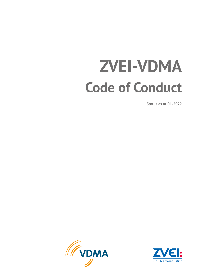# **ZVEI-VDMA Code of Conduct**

Status as at 01/2022



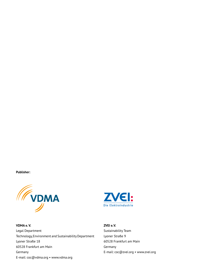**Publisher:**



**VDMA e. V.** Legal Department Technology, Environment and Sustainability Department Lyoner Straße 18 60528 Frankfurt am Main Germany E-mail: coc@vdma.org • www.vdma.org



**ZVEI e. V.** Sustainability Team Lyoner Straße 9 60528 Frankfurt am Main Germany E-mail: coc@zvei.org • www.zvei.org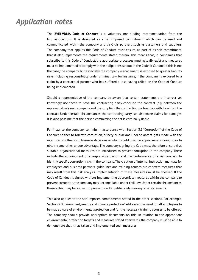### <span id="page-2-0"></span>*Application notes*

The **ZVEI-VDMA Code of Conduct** is a voluntary, non-binding recommendation from the two associations. It is designed as a self-imposed commitment which can be used and communicated within the company and vis-à-vis partners such as customers and suppliers. The company that applies this Code of Conduct must ensure, as part of its self-commitment, that it also implements the requirements stated therein. This means that, in companies that subscribe to this Code of Conduct, the appropriate processes must actually exist and measures must be implemented to comply with the obligations set out in the Code of Conduct If this is not the case, the company, but especially the company management, is exposed to greater liability risks including responsibility under criminal law, for instance, if the company is exposed to a claim by a contractual partner who has suffered a loss having relied on the Code of Conduct being implemented.

Should a representative of the company be aware that certain statements are incorrect yet knowingly use these to have the contracting party conclude the contract (e.g. between the representative's own company and the supplier), the contracting partner can withdraw from the contract. Under certain circumstances, the contracting party can also make claims for damages. It is also possible that the person committing the act is criminally liable.

For instance, the company commits in accordance with Section 3.1 "Corruption" of the Code of Conduct neither to tolerate corruption, bribery or blackmail nor to accept gifts made with the intention of influencing business decisions or which could give the appearance of doing so or to obtain some other undue advantage. The company signing the Code must therefore ensure that suitable organisational measures are introduced to prevent corruption in the company. These include the appointment of a responsible person and the performance of a risk analysis to identify specific corruption risks in the company. The creation of internal instruction manuals for employees and business partners, guidelines and training courses are concrete measures that may result from this risk analysis. Implementation of these measures must be checked. If the Code of Conduct is signed without implementing appropriate measures within the company to prevent corruption, the company may become liable under civil law. Under certain circumstances, those acting may be subject to prosecution for deliberately making false statements.

This also applies to the self-imposed commitments stated in the other sections. For example, Section 7 "Environment, energy and climate protection" addresses the need for all employees to be made aware of environmental protection and for the necessary training courses to be offered. The company should provide appropriate documents on this. In relation to the appropriate environmental protection targets and measures stated afterwards, the company must be able to demonstrate that it has taken and implemented such measures.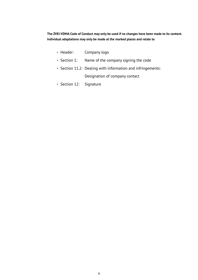**The ZVEI-VDMA Code of Conduct may only be used if no changes have been made to its content. Individual adaptations may only be made at the marked places and relate to**

- Header: Company logo
- Section 1: Name of the company signing the code
- Section 11.2: Dealing with information and infringements: Designation of company contact
- Section 12: Signature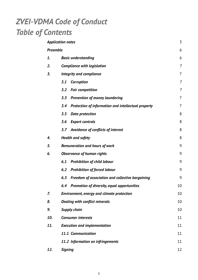# *ZVEI-VDMA Code of Conduct Table of Contents*

| <b>Application notes</b> |                                                            | 3              |
|--------------------------|------------------------------------------------------------|----------------|
| Preamble                 |                                                            | 6              |
| 1.                       | <b>Basic understanding</b>                                 | 6              |
| 2.                       | <b>Compliance with legislation</b>                         | 7              |
| 3.                       | <b>Integrity and compliance</b>                            | $\overline{7}$ |
|                          | 3.1<br>Corruption                                          | 7              |
|                          | 3.2<br><b>Fair competition</b>                             | 7              |
|                          | 3.3<br><b>Prevention of money laundering</b>               | $\overline{7}$ |
|                          | 3.4<br>Protection of information and intellectual property | $\overline{7}$ |
|                          | 3.5<br><b>Data protection</b>                              | 8              |
|                          | 3.6<br><b>Export controls</b>                              | 8              |
|                          | Avoidance of conflicts of interest<br>3.7                  | 8              |
| 4.                       | <b>Health and safety</b>                                   | 8              |
| 5.                       | <b>Remuneration and hours of work</b>                      | 9              |
| 6.                       | <b>Observance of human rights</b>                          | 9              |
|                          | 6.1<br><b>Prohibition of child labour</b>                  | 9              |
|                          | 6.2<br><b>Prohibition of forced labour</b>                 | 9              |
|                          | 6.3<br>Freedom of association and collective bargaining    | 9              |
|                          | Promotion of diversity, equal opportunities<br>6.4         | 10             |
| 7.                       | <b>Environment, energy and climate protection</b>          | 10             |
| 8.                       | <b>Dealing with conflict minerals</b>                      | 10             |
| 9.                       | <b>Supply chain</b>                                        | 10             |
| 10.                      | <b>Consumer interests</b>                                  | 11             |
| 11.                      | <b>Execution and implementation</b>                        | 11             |
|                          | 11.1 Communication                                         | 11             |
|                          | 11.2 Information on infringements                          | 11             |
| 12.                      | <b>Signing</b>                                             | 12             |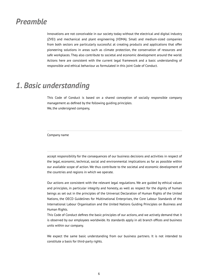### <span id="page-5-0"></span>*Preamble*

Innovations are not conceivable in our society today without the electrical and digital industry (ZVEI) and mechanical and plant engineering (VDMA). Small and medium-sized companies from both sectors are particularly successful at creating products and applications that offer pioneering solutions in areas such as climate protection, the conservation of resources and safe workplaces. They also contribute to societal and economic development around the world. Actions here are consistent with the current legal framework and a basic understanding of responsible and ethical behaviour as formulated in this joint Code of Conduct.

### *1. Basic understanding*

This Code of Conduct is based on a shared conception of socially responsible company management as defined by the following guiding principles. We, the undersigned company,

Company name

accept responsibility for the consequences of our business decisions and activities in respect of the legal, economic, technical, social and environmental implications as far as possible within our available scope of action. We thus contribute to the societal and economic development of the countries and regions in which we operate.

Our actions are consistent with the relevant legal regulations. We are guided by ethical values and principles, in particular integrity and honesty, as well as respect for the dignity of human beings as set out in the principles of the Universal Declaration of Human Rights of the United Nations, the OECD Guidelines for Multinational Enterprises, the Core Labour Standards of the International Labour Organisation and the United Nations Guiding Principles on Business and Human Rights.

This Code of Conduct defines the basic principles of our actions, and we actively demand that it is observed by our employees worldwide. Its standards apply in all branch offices and business units within our company.

We expect the same basic understanding from our business partners. It is not intended to constitute a basis for third-party rights.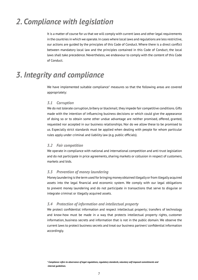### <span id="page-6-0"></span>*2. Compliance with legislation*

It is a matter of course for us that we will comply with current laws and other legal requirements in the countries in which we operate. In cases where local laws and regulations are less restrictive, our actions are guided by the principles of this Code of Conduct. Where there is a direct conflict between mandatory local law and the principles contained in this Code of Conduct, the local laws shall take precedence. Nevertheless, we endeavour to comply with the content of this Code of Conduct.

### *3. Integrity and compliance*

We have implemented suitable compliance $1$  measures so that the following areas are covered appropriately:

#### *3.1 Corruption*

We do not tolerate corruption, bribery or blackmail; they impede fair competitive conditions. Gifts made with the intention of influencing business decisions or which could give the appearance of doing so or to obtain some other undue advantage are neither promised, offered, granted, requested nor accepted in our business relationships. Nor do we allow these to be promised to us. Especially strict standards must be applied when dealing with people for whom particular rules apply under criminal and liability law (e.g. public officials).

#### *3.2 Fair competition*

We operate in compliance with national and international competition and anti-trust legislation and do not participate in price agreements, sharing markets or collusion in respect of customers, markets and bids.

#### *3.3 Prevention of money laundering*

Money laundering is the term used for bringing money obtained illegally or from illegally acquired assets into the legal financial and economic system. We comply with our legal obligations to prevent money laundering and do not participate in transactions that serve to disguise or integrate criminal or illegally acquired assets.

#### *3.4 Protection of information and intellectual property*

We protect confidential information and respect intellectual property; transfers of technology and know-how must be made in a way that protects intellectual property rights, customer information, business secrets and information that is not in the public domain. We observe the current laws to protect business secrets and treat our business partners' confidential information accordingly.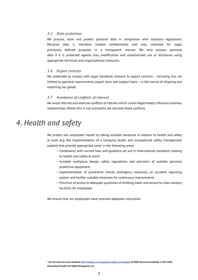#### <span id="page-7-0"></span>*3.5 Data protection*

We process, store and protect personal data in compliance with statutory regulations. Personal data is therefore treated confidentially and only collected for legal, previously defined purposes in a transparent manner. We only process personal data if it is protected against loss, modification and unauthorised use or disclosure using appropriate technical and organisational measures.

#### *3.6 Export controls*

We undertake to comply with legal standards relevant to export controls - including but not limited to approval requirements, export bans and support bans – in the course of shipping and exporting our goods.

#### *3.7 Avoidance of conflicts of interest*

We avoid internal and external conflicts of interest which could illegitimately influence business relationships. Where this is not successful, we disclose these conflicts.

### *4. Health and safety*

We protect our employees' health by taking suitable measures in relation to health and safety at work (e.g. the implementation of a company health and occupational safety management system) that provide appropriate cover in the following areas:

- Compliance with current laws and guidance set out in international standards relating to health and safety at work<sup>2</sup>;
	- Suitable workplace design, safety regulations and provision of suitable personal protective equipment;
	- Implementation of preventive checks, emergency measures, an accident reporting system and further suitable measures for continuous improvement;
	- Provision of access to adequate quantities of drinking water and access to clean sanitary facilities for employees.

We ensure that our employees have received adequate instruction.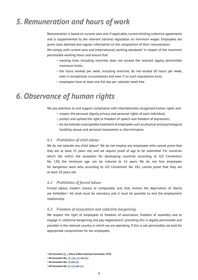### <span id="page-8-0"></span>*5. Remuneration and hours of work*

Remuneration is based on current laws and, if applicable, current binding collective agreements and is supplemented by the relevant national legislation on minimum wages. Employees are given clear, detailed and regular information on the composition of their remuneration.

We comply with current laws and (international) working standards $^3$  in respect of the maximum permissible working hours and ensure that

- working time, including overtime, does not exceed the relevant legally permissible maximum limits;
- the hours worked per week, including overtime, do not exceed 60 hours per week, even in exceptional circumstances and even if no such stipulations exist;
- employees have at least one full day per calendar week free.

### *6. Observance of human rights*

We pay attention to and support compliance with internationally recognised human rights and

- respect the personal dignity, privacy and personal rights of each individual;
- protect and uphold the right to freedom of speech and freedom of expression;
- do not tolerate unacceptable treatment of employees such as physical and psychological hardship, sexual and personal harassment or discrimination.

#### *6.1 Prohibition of child labour*

We do not tolerate any child labour<sup>4</sup>. We do not employ any employees who cannot prove that they are at least 15 years old, and we require proof of age to be submitted. For countries which fall within the exception for developing countries according to ILO Convention No. 138, the minimum age can be reduced to 14 years. We do not hire employees for dangerous work who, according to ILO Convention No. 182, cannot prove that they are at least 18 years old.

#### *6.2 Prohibition of forced labour*

Forced labour, modern slavery or comparable acts that involve the deprivation of liberty are forbidden.<sup>5</sup> All work must be voluntary, and it must be possible to end the employment relationship.

#### *6.3 Freedom of association and collective bargaining*

We respect the right of employees to freedom of association, freedom of assembly and to engage in collective bargaining and pay negotiations<sup>6</sup>, providing this is legally permissible and possible in the relevant country in which we are operating. If this is not permissible, we look for appropriate compromises for our employees.

*<sup>3</sup> ILO Convention [No. 1](https://www.ilo.org/dyn/normlex/en/f?p=NORMLEXPUB:12100:0::NO::P12100_INSTRUMENT_ID:312146) (Hours of Work (Industry) Convention), 1919)*

*<sup>4</sup>ILO Convention Nos. [79,](https://www.ilo.org/dyn/normlex/en/f?p=NORMLEXPUB:12100:0::NO::P12100_ILO_CODE:C079) [138](https://www.ilo.org/dyn/normlex/en/f?p=NORMLEXPUB:12100:0::NO::P12100_ILO_CODE:C138), [142](https://www.ilo.org/dyn/normlex/en/f?p=NORMLEXPUB:12100:0::NO::P12100_ILO_CODE:C142) and [182](https://www.ilo.org/dyn/normlex/en/f?p=NORMLEXPUB:12100:0::NO::P12100_ILO_CODE:C182)*

*<sup>5</sup>ILO Convention Nos. [29](https://www.ilo.org/dyn/normlex/en/f?p=NORMLEXPUB:12100:0::NO::P12100_ILO_CODE:C029) and [105](https://www.ilo.org/dyn/normlex/en/f?p=1000:12100:0::NO::P12100_ILO_CODE:C105)*

*<sup>6</sup> ILO Convention Nos. [87](https://www.ilo.org/dyn/normlex/en/f?p=NORMLEXPUB:12100:0::NO::p12100_instrument_id:312232), [135](https://www.ilo.org/dyn/normlex/en/f?p=NORMLEXPUB:12100:0::NO::P12100_INSTRUMENT_ID:312280) and [154](https://www.ilo.org/dyn/normlex/en/f?p=NORMLEXPUB:12100:0::NO::P12100_INSTRUMENT_ID:312299)*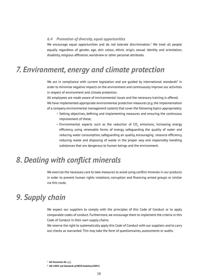#### <span id="page-9-0"></span>*6.4 Promotion of diversity, equal opportunities*

We encourage equal opportunities and do not tolerate discrimination.<sup>7</sup> We treat all people equally regardless of gender, age, skin colour, ethnic origin, sexual identity and orientation, disability, religious affiliation, worldview or other personal attributes.

### *7. Environment, energy and climate protection*

We act in compliance with current legislation and are guided by international standards $8$  in order to minimise negative impacts on the environment and continuously improve our activities in respect of environment and climate protection.

All employees are made aware of environmental issues and the necessary training is offered. We have implemented appropriate environmental protection measures (e.g. the implementation of a company environmental management system) that cover the following topics appropriately:

- Setting objectives, defining and implementing measures and ensuring the continuous improvement of these;
- Environmental aspects such as the reduction of  $CO_2$  emissions, increasing energy efficiency, using renewable forms of energy, safeguarding the quality of water and reducing water consumption, safeguarding air quality, encouraging resource efficiency, reducing waste and disposing of waste in the proper way and responsibly handling substances that are dangerous to human beings and the environment.

### *8. Dealing with conflict minerals*

We exercise the necessary care to take measures to avoid using conflict minerals in our products in order to prevent human rights violations, corruption and financing armed groups or similar via this route.

### *9. Supply chain*

We expect our suppliers to comply with the principles of this Code of Conduct or to apply comparable codes of conduct. Furthermore, we encourage them to implement the criteria in this Code of Conduct in their own supply chains.

We reserve the right to systematically apply this Code of Conduct with our suppliers and to carry out checks as warranted. This may take the form of questionnaires, assessments or audits.

*<sup>7</sup> ILO Convention No. [111](https://www.ilo.org/dyn/normlex/en/f?p=NORMLEXPUB:12100:0::NO::P12100_ILO_CODE:C111)*

*<sup>8</sup> ISO 14001 and Standards of OECD Guidelines/COP21*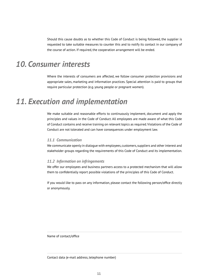<span id="page-10-0"></span>Should this cause doubts as to whether this Code of Conduct is being followed, the supplier is requested to take suitable measures to counter this and to notify its contact in our company of the course of action. If required, the cooperation arrangement will be ended.

### *10. Consumer interests*

Where the interests of consumers are affected, we follow consumer protection provisions and appropriate sales, marketing and information practices. Special attention is paid to groups that require particular protection (e.g. young people or pregnant women).

### *11. Execution and implementation*

We make suitable and reasonable efforts to continuously implement, document and apply the principles and values in the Code of Conduct. All employees are made aware of what this Code of Conduct contains and receive training on relevant topics as required. Violations of the Code of Conduct are not tolerated and can have consequences under employment law.

#### *11.1 Communication*

We communicate openly in dialogue with employees, customers, suppliers and other interest and stakeholder groups regarding the requirements of this Code of Conduct and its implementation.

#### *11.2 Information on infringements*

We offer our employees and business partners access to a protected mechanism that will allow them to confidentially report possible violations of the principles of this Code of Conduct.

If you would like to pass on any information, please contact the following person/office directly or anonymously.

Name of contact/office

Contact data (e-mail address, telephone number)